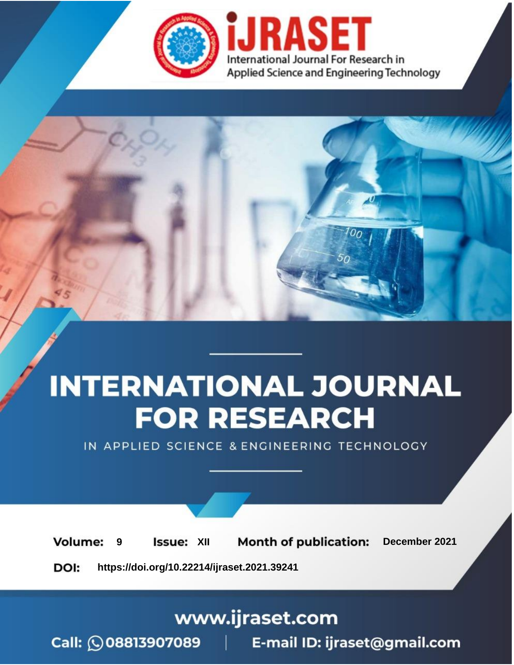



IN APPLIED SCIENCE & ENGINEERING TECHNOLOGY

**9 Issue:** XII **Month of publication:** December 2021 **Volume: https://doi.org/10.22214/ijraset.2021.39241**DOI:

www.ijraset.com

Call: 008813907089 | E-mail ID: ijraset@gmail.com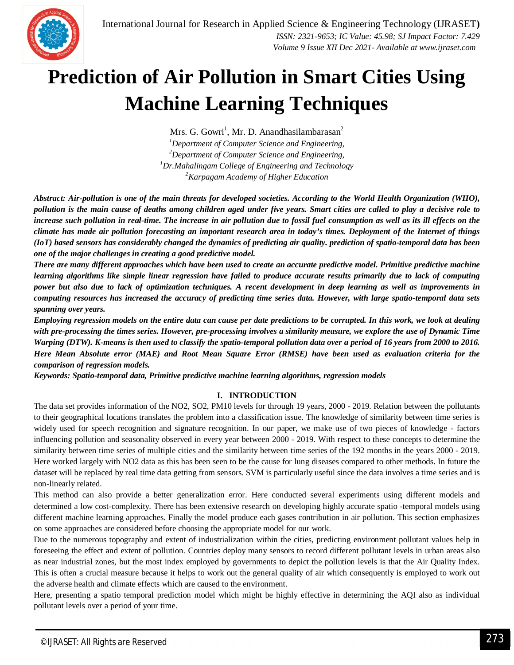

# **Prediction of Air Pollution in Smart Cities Using Machine Learning Techniques**

Mrs. G. Gowri<sup>1</sup>, Mr. D. Anandhasilambarasan<sup>2</sup> *Department of Computer Science and Engineering, Department of Computer Science and Engineering, Dr.Mahalingam College of Engineering and Technology Karpagam Academy of Higher Education*

*Abstract: Air-pollution is one of the main threats for developed societies. According to the World Health Organization (WHO), pollution is the main cause of deaths among children aged under five years. Smart cities are called to play a decisive role to increase such pollution in real-time. The increase in air pollution due to fossil fuel consumption as well as its ill effects on the climate has made air pollution forecasting an important research area in today's times. Deployment of the Internet of things (IoT) based sensors has considerably changed the dynamics of predicting air quality. prediction of spatio-temporal data has been one of the major challenges in creating a good predictive model.* 

*There are many different approaches which have been used to create an accurate predictive model. Primitive predictive machine learning algorithms like simple linear regression have failed to produce accurate results primarily due to lack of computing power but also due to lack of optimization techniques. A recent development in deep learning as well as improvements in computing resources has increased the accuracy of predicting time series data. However, with large spatio-temporal data sets spanning over years.*

*Employing regression models on the entire data can cause per date predictions to be corrupted. In this work, we look at dealing with pre-processing the times series. However, pre-processing involves a similarity measure, we explore the use of Dynamic Time Warping (DTW). K-means is then used to classify the spatio-temporal pollution data over a period of 16 years from 2000 to 2016. Here Mean Absolute error (MAE) and Root Mean Square Error (RMSE) have been used as evaluation criteria for the comparison of regression models.*

*Keywords: Spatio-temporal data, Primitive predictive machine learning algorithms, regression models*

# **I. INTRODUCTION**

The data set provides information of the NO2, SO2, PM10 levels for through 19 years, 2000 - 2019. Relation between the pollutants to their geographical locations translates the problem into a classification issue. The knowledge of similarity between time series is widely used for speech recognition and signature recognition. In our paper, we make use of two pieces of knowledge - factors influencing pollution and seasonality observed in every year between 2000 - 2019. With respect to these concepts to determine the similarity between time series of multiple cities and the similarity between time series of the 192 months in the years 2000 - 2019. Here worked largely with NO2 data as this has been seen to be the cause for lung diseases compared to other methods. In future the dataset will be replaced by real time data getting from sensors. SVM is particularly useful since the data involves a time series and is non-linearly related.

This method can also provide a better generalization error. Here conducted several experiments using different models and determined a low cost-complexity. There has been extensive research on developing highly accurate spatio -temporal models using different machine learning approaches. Finally the model produce each gases contribution in air pollution. This section emphasizes on some approaches are considered before choosing the appropriate model for our work.

Due to the numerous topography and extent of industrialization within the cities, predicting environment pollutant values help in foreseeing the effect and extent of pollution. Countries deploy many sensors to record different pollutant levels in urban areas also as near industrial zones, but the most index employed by governments to depict the pollution levels is that the Air Quality Index. This is often a crucial measure because it helps to work out the general quality of air which consequently is employed to work out the adverse health and climate effects which are caused to the environment.

Here, presenting a spatio temporal prediction model which might be highly effective in determining the AQI also as individual pollutant levels over a period of your time.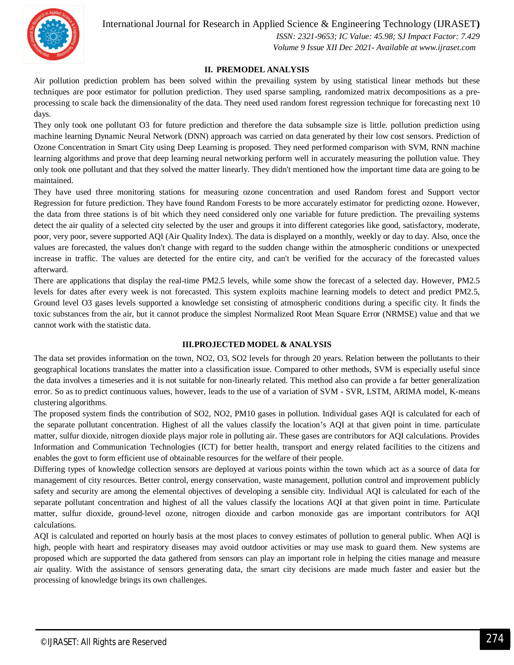

International Journal for Research in Applied Science & Engineering Technology (IJRASET**)**  *ISSN: 2321-9653; IC Value: 45.98; SJ Impact Factor: 7.429*

 *Volume 9 Issue XII Dec 2021- Available at www.ijraset.com*

#### **II. PREMODEL ANALYSIS**

Air pollution prediction problem has been solved within the prevailing system by using statistical linear methods but these techniques are poor estimator for pollution prediction. They used sparse sampling, randomized matrix decompositions as a preprocessing to scale back the dimensionality of the data. They need used random forest regression technique for forecasting next 10 days.

They only took one pollutant O3 for future prediction and therefore the data subsample size is little. pollution prediction using machine learning Dynamic Neural Network (DNN) approach was carried on data generated by their low cost sensors. Prediction of Ozone Concentration in Smart City using Deep Learning is proposed. They need performed comparison with SVM, RNN machine learning algorithms and prove that deep learning neural networking perform well in accurately measuring the pollution value. They only took one pollutant and that they solved the matter linearly. They didn't mentioned how the important time data are going to be maintained.

They have used three monitoring stations for measuring ozone concentration and used Random forest and Support vector Regression for future prediction. They have found Random Forests to be more accurately estimator for predicting ozone. However, the data from three stations is of bit which they need considered only one variable for future prediction. The prevailing systems detect the air quality of a selected city selected by the user and groups it into different categories like good, satisfactory, moderate, poor, very poor, severe supported AQI (Air Quality Index). The data is displayed on a monthly, weekly or day to day. Also, once the values are forecasted, the values don't change with regard to the sudden change within the atmospheric conditions or unexpected increase in traffic. The values are detected for the entire city, and can't be verified for the accuracy of the forecasted values afterward.

There are applications that display the real-time PM2.5 levels, while some show the forecast of a selected day. However, PM2.5 levels for dates after every week is not forecasted. This system exploits machine learning models to detect and predict PM2.5, Ground level O3 gases levels supported a knowledge set consisting of atmospheric conditions during a specific city. It finds the toxic substances from the air, but it cannot produce the simplest Normalized Root Mean Square Error (NRMSE) value and that we cannot work with the statistic data.

#### **III.PROJECTED MODEL & ANALYSIS**

The data set provides information on the town, NO2, O3, SO2 levels for through 20 years. Relation between the pollutants to their geographical locations translates the matter into a classification issue. Compared to other methods, SVM is especially useful since the data involves a timeseries and it is not suitable for non-linearly related. This method also can provide a far better generalization error. So as to predict continuous values, however, leads to the use of a variation of SVM - SVR, LSTM, ARIMA model, K-means clustering algorithms.

The proposed system finds the contribution of SO2, NO2, PM10 gases in pollution. Individual gases AQI is calculated for each of the separate pollutant concentration. Highest of all the values classify the location's AQI at that given point in time. particulate matter, sulfur dioxide, nitrogen dioxide plays major role in polluting air. These gases are contributors for AQI calculations. Provides Information and Communication Technologies (ICT) for better health, transport and energy related facilities to the citizens and enables the govt to form efficient use of obtainable resources for the welfare of their people.

Differing types of knowledge collection sensors are deployed at various points within the town which act as a source of data for management of city resources. Better control, energy conservation, waste management, pollution control and improvement publicly safety and security are among the elemental objectives of developing a sensible city. Individual AQI is calculated for each of the separate pollutant concentration and highest of all the values classify the locations AQI at that given point in time. Particulate matter, sulfur dioxide, ground-level ozone, nitrogen dioxide and carbon monoxide gas are important contributors for AQI calculations.

AQI is calculated and reported on hourly basis at the most places to convey estimates of pollution to general public. When AQI is high, people with heart and respiratory diseases may avoid outdoor activities or may use mask to guard them. New systems are proposed which are supported the data gathered from sensors can play an important role in helping the cities manage and measure air quality. With the assistance of sensors generating data, the smart city decisions are made much faster and easier but the processing of knowledge brings its own challenges.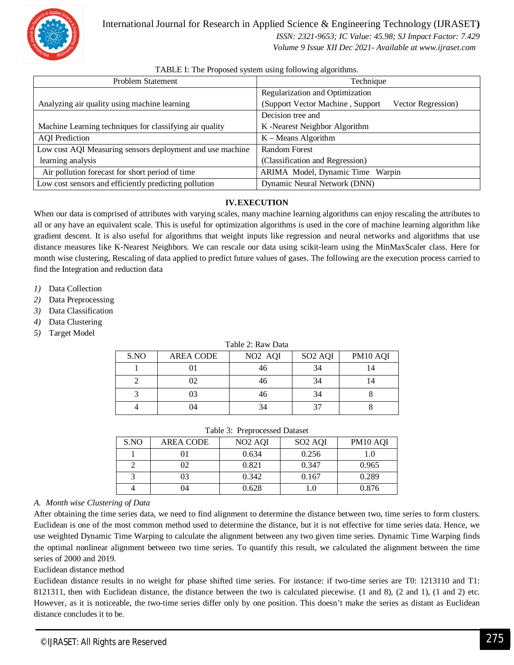

International Journal for Research in Applied Science & Engineering Technology (IJRASET**)**  *ISSN: 2321-9653; IC Value: 45.98; SJ Impact Factor: 7.429 Volume 9 Issue XII Dec 2021- Available at www.ijraset.com*

| <b>Problem Statement</b>                                  | Technique                                              |  |  |
|-----------------------------------------------------------|--------------------------------------------------------|--|--|
|                                                           | Regularization and Optimization                        |  |  |
| Analyzing air quality using machine learning              | (Support Vector Machine, Support<br>Vector Regression) |  |  |
|                                                           | Decision tree and                                      |  |  |
| Machine Learning techniques for classifying air quality   | K-Nearest Neighbor Algorithm                           |  |  |
| <b>AQI</b> Prediction                                     | $K -$ Means Algorithm                                  |  |  |
| Low cost AQI Measuring sensors deployment and use machine | Random Forest                                          |  |  |
| learning analysis                                         | (Classification and Regression)                        |  |  |
| Air pollution forecast for short period of time           | ARIMA Model, Dynamic Time Warpin                       |  |  |
| Low cost sensors and efficiently predicting pollution     | Dynamic Neural Network (DNN)                           |  |  |

# TABLE I: The Proposed system using following algorithms.

# **IV.EXECUTION**

When our data is comprised of attributes with varying scales, many machine learning algorithms can enjoy rescaling the attributes to all or any have an equivalent scale. This is useful for optimization algorithms is used in the core of machine learning algorithm like gradient descent. It is also useful for algorithms that weight inputs like regression and neural networks and algorithms that use distance measures like K-Nearest Neighbors. We can rescale our data using scikit-learn using the MinMaxScaler class. Here for month wise clustering, Rescaling of data applied to predict future values of gases. The following are the execution process carried to find the Integration and reduction data

- *1)* Data Collection
- *2)* Data Preprocessing
- *3)* Data Classification
- *4)* Data Clustering
- *5)* Target Model

#### Table 2: Raw Data

| S.NO | <b>AREA CODE</b> | NO <sub>2</sub> AQI | SO <sub>2</sub> AQI | PM10 AQI |
|------|------------------|---------------------|---------------------|----------|
|      |                  |                     | 34                  |          |
|      | 02               |                     | 34                  |          |
|      | 03               |                     | 34                  |          |
|      | 04               | 34                  |                     |          |

#### Table 3: Preprocessed Dataset

| S.NO | AREA CODE | NO <sub>2</sub> AOI | SO <sub>2</sub> AOI | PM <sub>10</sub> AQI |
|------|-----------|---------------------|---------------------|----------------------|
|      |           | 0.634               | 0.256               | 1.0                  |
|      | 02        | 0.821               | 0.347               | 0.965                |
|      | 03        | 0.342               | 0.167               | 0.289                |
|      | 04        | 0.628               |                     | 0.876                |

#### *A. Month wise Clustering of Data*

After obtaining the time series data, we need to find alignment to determine the distance between two, time series to form clusters. Euclidean is one of the most common method used to determine the distance, but it is not effective for time series data. Hence, we use weighted Dynamic Time Warping to calculate the alignment between any two given time series. Dynamic Time Warping finds the optimal nonlinear alignment between two time series. To quantify this result, we calculated the alignment between the time series of 2000 and 2019.

#### Euclidean distance method

Euclidean distance results in no weight for phase shifted time series. For instance: if two-time series are T0: 1213110 and T1: 8121311, then with Euclidean distance, the distance between the two is calculated piecewise. (1 and 8), (2 and 1), (1 and 2) etc. However, as it is noticeable, the two-time series differ only by one position. This doesn't make the series as distant as Euclidean distance concludes it to be.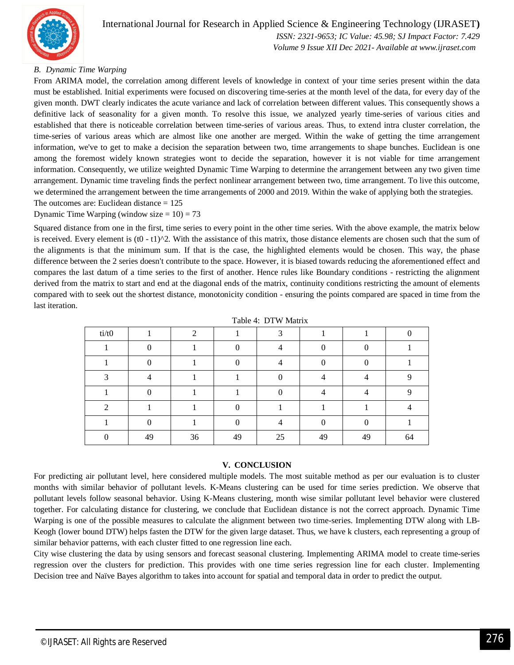

 *Volume 9 Issue XII Dec 2021- Available at www.ijraset.com*

# *B. Dynamic Time Warping*

From ARIMA model, the correlation among different levels of knowledge in context of your time series present within the data must be established. Initial experiments were focused on discovering time-series at the month level of the data, for every day of the given month. DWT clearly indicates the acute variance and lack of correlation between different values. This consequently shows a definitive lack of seasonality for a given month. To resolve this issue, we analyzed yearly time-series of various cities and established that there is noticeable correlation between time-series of various areas. Thus, to extend intra cluster correlation, the time-series of various areas which are almost like one another are merged. Within the wake of getting the time arrangement information, we've to get to make a decision the separation between two, time arrangements to shape bunches. Euclidean is one among the foremost widely known strategies wont to decide the separation, however it is not viable for time arrangement information. Consequently, we utilize weighted Dynamic Time Warping to determine the arrangement between any two given time arrangement. Dynamic time traveling finds the perfect nonlinear arrangement between two, time arrangement. To live this outcome, we determined the arrangement between the time arrangements of 2000 and 2019. Within the wake of applying both the strategies. The outcomes are: Euclidean distance =  $125$ 

Dynamic Time Warping (window size  $= 10$ ) = 73

Squared distance from one in the first, time series to every point in the other time series. With the above example, the matrix below is received. Every element is  $((0 - t1)^2)$ . With the assistance of this matrix, those distance elements are chosen such that the sum of the alignments is that the minimum sum. If that is the case, the highlighted elements would be chosen. This way, the phase difference between the 2 series doesn't contribute to the space. However, it is biased towards reducing the aforementioned effect and compares the last datum of a time series to the first of another. Hence rules like Boundary conditions - restricting the alignment derived from the matrix to start and end at the diagonal ends of the matrix, continuity conditions restricting the amount of elements compared with to seek out the shortest distance, monotonicity condition - ensuring the points compared are spaced in time from the last iteration.

|       |    |    | $\sim$ $\sim$ $\sim$ | $\cdots$ $\cdots$ $\cdots$ $\cdots$ |    |    |          |
|-------|----|----|----------------------|-------------------------------------|----|----|----------|
| ti/t0 |    | ◠  |                      | ⌒                                   |    |    |          |
|       |    |    |                      |                                     |    |    |          |
|       |    |    |                      |                                     |    |    |          |
|       |    |    |                      |                                     |    |    | $\Omega$ |
|       |    |    |                      |                                     |    |    |          |
|       |    |    |                      |                                     |    |    |          |
|       |    |    |                      |                                     |    |    |          |
|       | 49 | 36 | 49                   | 25                                  | 49 | 49 | 64       |

Table 4: DTW Matrix

#### **V. CONCLUSION**

For predicting air pollutant level, here considered multiple models. The most suitable method as per our evaluation is to cluster months with similar behavior of pollutant levels. K-Means clustering can be used for time series prediction. We observe that pollutant levels follow seasonal behavior. Using K-Means clustering, month wise similar pollutant level behavior were clustered together. For calculating distance for clustering, we conclude that Euclidean distance is not the correct approach. Dynamic Time Warping is one of the possible measures to calculate the alignment between two time-series. Implementing DTW along with LB-Keogh (lower bound DTW) helps fasten the DTW for the given large dataset. Thus, we have k clusters, each representing a group of similar behavior patterns, with each cluster fitted to one regression line each.

City wise clustering the data by using sensors and forecast seasonal clustering. Implementing ARIMA model to create time-series regression over the clusters for prediction. This provides with one time series regression line for each cluster. Implementing Decision tree and Naïve Bayes algorithm to takes into account for spatial and temporal data in order to predict the output.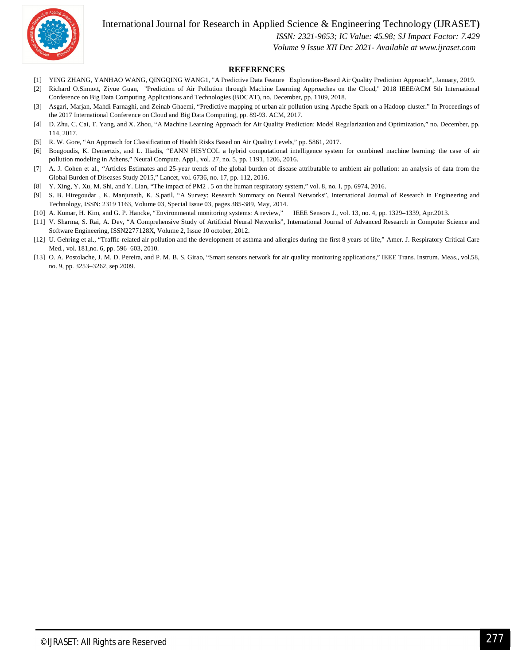International Journal for Research in Applied Science & Engineering Technology (IJRASET**)**



 *ISSN: 2321-9653; IC Value: 45.98; SJ Impact Factor: 7.429*

 *Volume 9 Issue XII Dec 2021- Available at www.ijraset.com*

#### **REFERENCES**

- [1] YING ZHANG, YANHAO WANG, QINGQING WANG1, "A Predictive Data Feature Exploration-Based Air Quality Prediction Approach", January, 2019.
- [2] Richard O.Sinnott, Ziyue Guan, "Prediction of Air Pollution through Machine Learning Approaches on the Cloud," 2018 IEEE/ACM 5th International Conference on Big Data Computing Applications and Technologies (BDCAT), no. December, pp. 1109, 2018.
- [3] Asgari, Marjan, Mahdi Farnaghi, and Zeinab Ghaemi, "Predictive mapping of urban air pollution using Apache Spark on a Hadoop cluster." In Proceedings of the 2017 International Conference on Cloud and Big Data Computing, pp. 89-93. ACM, 2017.
- [4] D. Zhu, C. Cai, T. Yang, and X. Zhou, "A Machine Learning Approach for Air Quality Prediction: Model Regularization and Optimization," no. December, pp. 114, 2017.
- [5] R. W. Gore, "An Approach for Classification of Health Risks Based on Air Quality Levels," pp. 5861, 2017.
- [6] Bougoudis, K. Demertzis, and L. Iliadis, "EANN HISYCOL a hybrid computational intelligence system for combined machine learning: the case of air pollution modeling in Athens," Neural Compute. Appl., vol. 27, no. 5, pp. 1191, 1206, 2016.
- [7] A. J. Cohen et al., "Articles Estimates and 25-year trends of the global burden of disease attributable to ambient air pollution: an analysis of data from the Global Burden of Diseases Study 2015," Lancet, vol. 6736, no. 17, pp. 112, 2016.
- [8] Y. Xing, Y. Xu, M. Shi, and Y. Lian, "The impact of PM2 . 5 on the human respiratory system," vol. 8, no. I, pp. 6974, 2016.
- [9] S. B. Hiregoudar , K. Manjunath, K. S.patil, "A Survey: Research Summary on Neural Networks", International Journal of Research in Engineering and Technology, ISSN: 2319 1163, Volume 03, Special Issue 03, pages 385-389, May, 2014.
- [10] A. Kumar, H. Kim, and G. P. Hancke, "Environmental monitoring systems: A review," IEEE Sensors J., vol. 13, no. 4, pp. 1329–1339, Apr.2013.
- [11] V. Sharma, S. Rai, A. Dev, "A Comprehensive Study of Artificial Neural Networks", International Journal of Advanced Research in Computer Science and Software Engineering, ISSN2277128X, Volume 2, Issue 10 october, 2012.
- [12] U. Gehring et al., "Traffic-related air pollution and the development of asthma and allergies during the first 8 years of life," Amer. J. Respiratory Critical Care Med., vol. 181,no. 6, pp. 596–603, 2010.
- [13] O. A. Postolache, J. M. D. Pereira, and P. M. B. S. Girao, "Smart sensors network for air quality monitoring applications," IEEE Trans. Instrum. Meas., vol.58, no. 9, pp. 3253–3262, sep.2009.